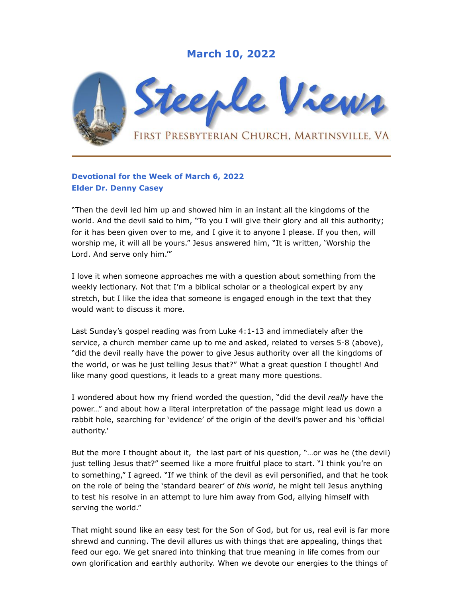# **March 10, 2022**



#### **Devotional for the Week of March 6, 2022 Elder Dr. Denny Casey**

"Then the devil led him up and showed him in an instant all the kingdoms of the world. And the devil said to him, "To you I will give their glory and all this authority; for it has been given over to me, and I give it to anyone I please. If you then, will worship me, it will all be yours." Jesus answered him, "It is written, 'Worship the Lord. And serve only him.'"

I love it when someone approaches me with a question about something from the weekly lectionary. Not that I'm a biblical scholar or a theological expert by any stretch, but I like the idea that someone is engaged enough in the text that they would want to discuss it more.

Last Sunday's gospel reading was from Luke 4:1-13 and immediately after the service, a church member came up to me and asked, related to verses 5-8 (above), "did the devil really have the power to give Jesus authority over all the kingdoms of the world, or was he just telling Jesus that?" What a great question I thought! And like many good questions, it leads to a great many more questions.

I wondered about how my friend worded the question, "did the devil *really* have the power…" and about how a literal interpretation of the passage might lead us down a rabbit hole, searching for 'evidence' of the origin of the devil's power and his 'official authority.'

But the more I thought about it, the last part of his question, "…or was he (the devil) just telling Jesus that?" seemed like a more fruitful place to start. "I think you're on to something," I agreed. "If we think of the devil as evil personified, and that he took on the role of being the 'standard bearer' of *this world*, he might tell Jesus anything to test his resolve in an attempt to lure him away from God, allying himself with serving the world."

That might sound like an easy test for the Son of God, but for us, real evil is far more shrewd and cunning. The devil allures us with things that are appealing, things that feed our ego. We get snared into thinking that true meaning in life comes from our own glorification and earthly authority. When we devote our energies to the things of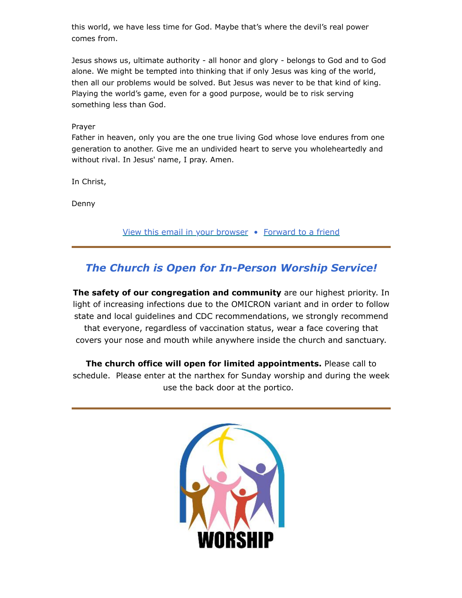this world, we have less time for God. Maybe that's where the devil's real power comes from.

Jesus shows us, ultimate authority - all honor and glory - belongs to God and to God alone. We might be tempted into thinking that if only Jesus was king of the world, then all our problems would be solved. But Jesus was never to be that kind of king. Playing the world's game, even for a good purpose, would be to risk serving something less than God.

Prayer

Father in heaven, only you are the one true living God whose love endures from one generation to another. Give me an undivided heart to serve you wholeheartedly and without rival. In Jesus' name, I pray. Amen.

In Christ,

Denny

[View this email in your browser](https://mailchi.mp/3c98f88f5fa4/steeple-views-for-february-17-5763601?e=[UNIQID]) • [Forward to a friend](http://us2.forward-to-friend.com/forward?u=61ff3bd45c5534f4c40472caf&id=773e032140&e=[UNIQID])

# *The Church is Open for In-Person Worship Service!*

**The safety of our congregation and community** are our highest priority. In light of increasing infections due to the OMICRON variant and in order to follow state and local guidelines and CDC recommendations, we strongly recommend that everyone, regardless of vaccination status, wear a face covering that covers your nose and mouth while anywhere inside the church and sanctuary.

**The church office will open for limited appointments.** Please call to schedule. Please enter at the narthex for Sunday worship and during the week use the back door at the portico.

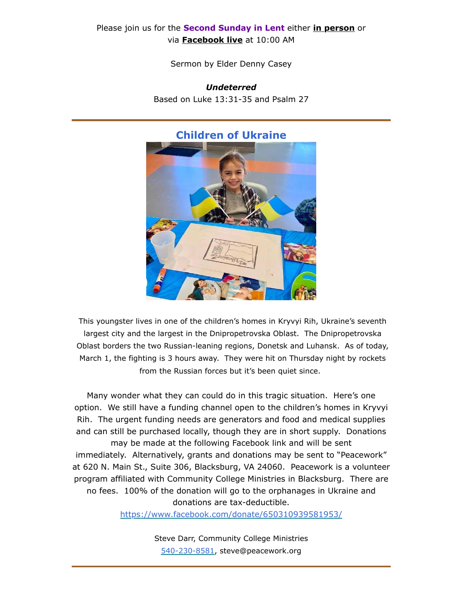Please join us for the **Second Sunday in Lent** either **in person** or via **Facebook live** at 10:00 AM

Sermon by Elder Denny Casey

#### *Undeterred*

Based on Luke 13:31-35 and Psalm 27

## **Children of Ukraine**



This youngster lives in one of the children's homes in Kryvyi Rih, Ukraine's seventh largest city and the largest in the Dnipropetrovska Oblast. The Dnipropetrovska Oblast borders the two Russian-leaning regions, Donetsk and Luhansk. As of today, March 1, the fighting is 3 hours away. They were hit on Thursday night by rockets from the Russian forces but it's been quiet since.

Many wonder what they can could do in this tragic situation. Here's one option. We still have a funding channel open to the children's homes in Kryvyi Rih. The urgent funding needs are generators and food and medical supplies and can still be purchased locally, though they are in short supply. Donations may be made at the following Facebook link and will be sent immediately. Alternatively, grants and donations may be sent to "Peacework" at 620 N. Main St., Suite 306, Blacksburg, VA 24060. Peacework is a volunteer program affiliated with Community College Ministries in Blacksburg. There are no fees. 100% of the donation will go to the orphanages in Ukraine and donations are tax-deductible.

<https://www.facebook.com/donate/650310939581953/>

Steve Darr, Community College Ministries [540-230-8581,](tel:540-230-8581) steve@peacework.org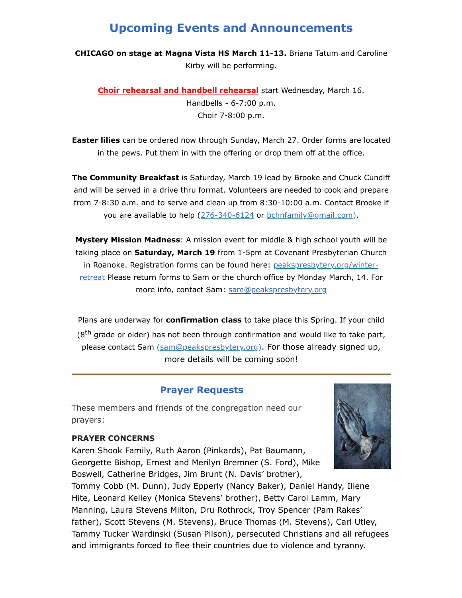# **Upcoming Events and Announcements**

**CHICAGO on stage at Magna Vista HS March 11-13.** Briana Tatum and Caroline Kirby will be performing.

**Choir rehearsal and handbell rehearsal** start Wednesday, March 16. Handbells - 6-7:00 p.m. Choir 7-8:00 p.m.

**Easter lilies** can be ordered now through Sunday, March 27. Order forms are located in the pews. Put them in with the offering or drop them off at the office.

**The Community Breakfast** is Saturday, March 19 lead by Brooke and Chuck Cundiff and will be served in a drive thru format. Volunteers are needed to cook and prepare from 7-8:30 a.m. and to serve and clean up from 8:30-10:00 a.m. Contact Brooke if you are available to help ([276-340-6124](tel:276-340-6124) or [bchnfamily@gmail.com\)](mailto:bchnfamily@gmail.com).

**Mystery Mission Madness**: A mission event for middle & high school youth will be taking place on **Saturday, March 19** from 1-5pm at Covenant Presbyterian Church in Roanoke. Registration forms can be found here: peakspresbytery.org/winter-retreat [Please return forms to Sam or the church office by Monday March, 14. Fo](http://peakspresbytery.org/winter-retreat)r more info, contact Sam: [sam@peakspresbytery.org](mailto:sam@peakspresbytery.org)

Plans are underway for **confirmation class** to take place this Spring. If your child  $(8<sup>th</sup>$  grade or older) has not been through confirmation and would like to take part, please contact Sam [\(sam@peakspresbytery.org\)](mailto:sam@peakspresbytery.org). For those already signed up, more details will be coming soon!

### **Prayer Requests**

These members and friends of the congregation need our prayers:

#### **PRAYER CONCERNS**

Karen Shook Family, Ruth Aaron (Pinkards), Pat Baumann, Georgette Bishop, Ernest and Merilyn Bremner (S. Ford), Mike Boswell, Catherine Bridges, Jim Brunt (N. Davis' brother),



Tommy Cobb (M. Dunn), Judy Epperly (Nancy Baker), Daniel Handy, Iliene Hite, Leonard Kelley (Monica Stevens' brother), Betty Carol Lamm, Mary Manning, Laura Stevens Milton, Dru Rothrock, Troy Spencer (Pam Rakes' father), Scott Stevens (M. Stevens), Bruce Thomas (M. Stevens), Carl Utley, Tammy Tucker Wardinski (Susan Pilson), persecuted Christians and all refugees and immigrants forced to flee their countries due to violence and tyranny.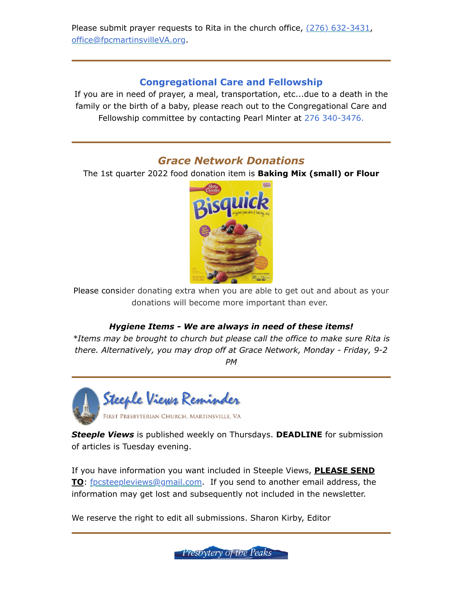Please submit prayer requests to Rita in the church office,  $(276)$  632-3431, [office@fpcmartinsvilleVA.org](mailto:office@fpcmartinsvilleVA.org).

# **Congregational Care and Fellowship**

If you are in need of prayer, a meal, transportation, etc...due to a death in the family or the birth of a baby, please reach out to the Congregational Care and Fellowship committee by contacting Pearl Minter at 276 340-3476.

# *Grace Network Donations*

The 1st quarter 2022 food donation item is **Baking Mix (small) or Flour**



Please consider donating extra when you are able to get out and about as your donations will become more important than ever.

# *Hygiene Items - We are always in need of these items!*

*\*Items may be brought to church but please call the office to make sure Rita is there. Alternatively, you may drop off at Grace Network, Monday - Friday, 9-2 PM*



*Steeple Views* is published weekly on Thursdays. **DEADLINE** for submission of articles is Tuesday evening.

If you have information you want included in Steeple Views, **PLEASE SEND TO**: [fpcsteepleviews@gmail.com.](http://fpcsteepleviews@gmail.com/) If you send to another email address, the information may get lost and subsequently not included in the newsletter.

We reserve the right to edit all submissions. Sharon Kirby, Editor

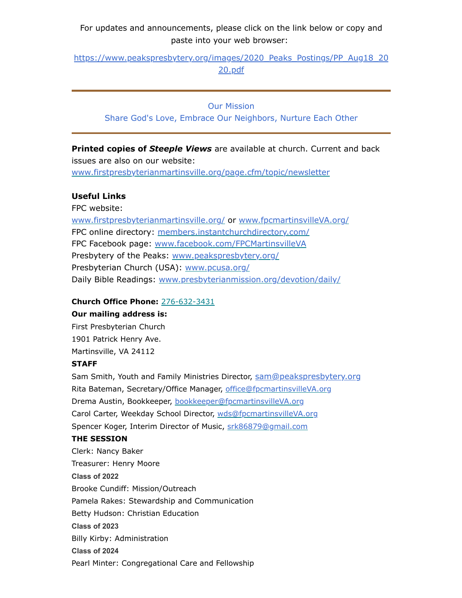### For updates and announcements, please click on the link below or copy and paste into your web browser:

# https://www.peakspresbytery.org/images/2020 Peaks\_Postings/PP\_Aug18\_20 20.pdf

## Our Mission Share God's Love, Embrace Our Neighbors, Nurture Each Other

**Printed copies of** *Steeple Views* are available at church. Current and back issues are also on our website: [www.firstpresbyterianmartinsville.org/page.cfm/topic/newsletter](http://www.firstpresbyterianmartinsville.org/page.cfm/topic/newsletter)

### **Useful Links**

FPC website:

[www.firstpresbyterianmartinsville.org/](http://www.firstpresbyterianmartinsville.org/) or [www.fpcmartinsvilleVA.org/](http://www.fpcmartinsvilleva.org/) FPC online directory: [members.instantchurchdirectory.com/](https://members.instantchurchdirectory.com/) FPC Facebook page: [www.facebook.com/FPCMartinsvilleVA](https://www.facebook.com/FPCMartinsvilleVA) Presbytery of the Peaks: [www.peakspresbytery.org/](http://www.peakspresbytery.org/) Presbyterian Church (USA): [www.pcusa.org/](http://www.pcusa.org/) Daily Bible Readings: [www.presbyterianmission.org/devotion/daily/](https://www.presbyterianmission.org/devotion/daily/)

#### **Church Office Phone:** [276-632-3431](tel:276-632-3431)

#### **Our mailing address is:**

First Presbyterian Church 1901 Patrick Henry Ave. Martinsville, VA 24112

#### **STAFF**

Sam Smith, Youth and Family Ministries Director, [sam@peakspresbytery.org](http://sam@peakspresbytery.org/) Rita Bateman, Secretary/Office Manager, [office@](mailto:office@firstpresbyterianmartinsville.org)[fpcmartinsvilleVA.org](mailto:pastor@firstpresbyterianmartinsville.org) Drema Austin, Bookkeeper, [bookkeeper@](mailto:bookkeeper@firstpresbyterianmartinsville.org)[fpcmartinsvilleVA.org](mailto:pastor@firstpresbyterianmartinsville.org) Carol Carter, Weekday School Director, [wds@fpcmartinsvilleVA.org](mailto:wds@fpcmartinsvilleva.org) Spencer Koger, Interim Director of Music, [srk86879@gmail.com](http://srk86879@gmail.com/)

#### **THE SESSION**

Clerk: Nancy Baker Treasurer: Henry Moore **Class of 2022** Brooke Cundiff: Mission/Outreach Pamela Rakes: Stewardship and Communication Betty Hudson: Christian Education **Class of 2023** Billy Kirby: Administration **Class of 2024** Pearl Minter: Congregational Care and Fellowship